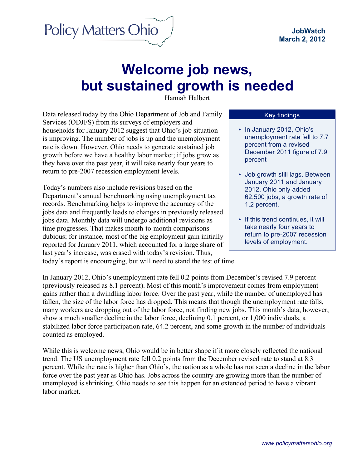

# **Welcome job news, but sustained growth is needed**

Hannah Halbert

Data released today by the Ohio Department of Job and Family Services (ODJFS) from its surveys of employers and households for January 2012 suggest that Ohio's job situation is improving. The number of jobs is up and the unemployment rate is down. However, Ohio needs to generate sustained job growth before we have a healthy labor market; if jobs grow as they have over the past year, it will take nearly four years to return to pre-2007 recession employment levels.

Today's numbers also include revisions based on the Department's annual benchmarking using unemployment tax records. Benchmarking helps to improve the accuracy of the jobs data and frequently leads to changes in previously released jobs data. Monthly data will undergo additional revisions as time progresses. That makes month-to-month comparisons dubious; for instance, most of the big employment gain initially reported for January 2011, which accounted for a large share of last year's increase, was erased with today's revision. Thus, today's report is encouraging, but will need to stand the test of time.

#### Key findings

- In January 2012, Ohio's unemployment rate fell to 7.7 percent from a revised December 2011 figure of 7.9 percent
- Job growth still lags. Between January 2011 and January 2012, Ohio only added 62,500 jobs, a growth rate of 1.2 percent.
- If this trend continues, it will take nearly four years to return to pre-2007 recession levels of employment.

In January 2012, Ohio's unemployment rate fell 0.2 points from December's revised 7.9 percent (previously released as 8.1 percent). Most of this month's improvement comes from employment gains rather than a dwindling labor force. Over the past year, while the number of unemployed has fallen, the size of the labor force has dropped. This means that though the unemployment rate falls, many workers are dropping out of the labor force, not finding new jobs. This month's data, however, show a much smaller decline in the labor force, declining 0.1 percent, or 1,000 individuals, a stabilized labor force participation rate, 64.2 percent, and some growth in the number of individuals counted as employed.

While this is welcome news, Ohio would be in better shape if it more closely reflected the national trend. The US unemployment rate fell 0.2 points from the December revised rate to stand at 8.3 percent. While the rate is higher than Ohio's, the nation as a whole has not seen a decline in the labor force over the past year as Ohio has. Jobs across the country are growing more than the number of unemployed is shrinking. Ohio needs to see this happen for an extended period to have a vibrant labor market.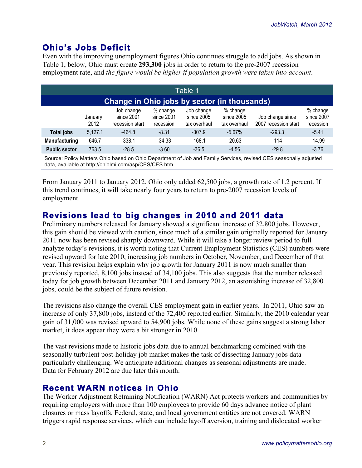## **Ohio's Jobs Deficit**

Even with the improving unemployment figures Ohio continues struggle to add jobs. As shown in Table 1, below, Ohio must create **293,300** jobs in order to return to the pre-2007 recession employment rate, and *the figure would be higher if population growth were taken into account*.

| Table 1                                                                                                          |                 |                                             |                                     |                                          |                                        |                                          |                                     |  |
|------------------------------------------------------------------------------------------------------------------|-----------------|---------------------------------------------|-------------------------------------|------------------------------------------|----------------------------------------|------------------------------------------|-------------------------------------|--|
| Change in Ohio jobs by sector (in thousands)                                                                     |                 |                                             |                                     |                                          |                                        |                                          |                                     |  |
|                                                                                                                  | January<br>2012 | Job change<br>since 2001<br>recession start | % change<br>since 2001<br>recession | Job change<br>since 2005<br>tax overhaul | % change<br>since 2005<br>tax overhaul | Job change since<br>2007 recession start | % change<br>since 2007<br>recession |  |
| Total jobs                                                                                                       | 5,127.1         | -464.8                                      | $-8.31$                             | $-307.9$                                 | $-5.67\%$                              | $-293.3$                                 | $-5.41$                             |  |
| Manufacturing                                                                                                    | 646.7           | $-338.1$                                    | $-34.33$                            | $-168.1$                                 | $-20.63$                               | $-114$                                   | $-14.99$                            |  |
| <b>Public sector</b>                                                                                             | 763.5           | $-28.5$                                     | $-3.60$                             | $-36.5$                                  | $-4.56$                                | $-29.8$                                  | $-3.76$                             |  |
| Source: Policy Matters Ohio based on Ohio Department of Job and Family Services, revised CES seasonally adjusted |                 |                                             |                                     |                                          |                                        |                                          |                                     |  |

data, available at http://ohiolmi.com/asp/CES/CES.htm.

From January 2011 to January 2012, Ohio only added 62,500 jobs, a growth rate of 1.2 percent. If this trend continues, it will take nearly four years to return to pre-2007 recession levels of employment.

### **Revisions lead to big changes in 2010 and 2011 data**

Preliminary numbers released for January showed a significant increase of 32,800 jobs. However, this gain should be viewed with caution, since much of a similar gain originally reported for January 2011 now has been revised sharply downward. While it will take a longer review period to full analyze today's revisions, it is worth noting that Current Employment Statistics (CES) numbers were revised upward for late 2010, increasing job numbers in October, November, and December of that year. This revision helps explain why job growth for January 2011 is now much smaller than previously reported, 8,100 jobs instead of 34,100 jobs. This also suggests that the number released today for job growth between December 2011 and January 2012, an astonishing increase of 32,800 jobs, could be the subject of future revision.

The revisions also change the overall CES employment gain in earlier years. In 2011, Ohio saw an increase of only 37,800 jobs, instead of the 72,400 reported earlier. Similarly, the 2010 calendar year gain of 31,000 was revised upward to 54,900 jobs. While none of these gains suggest a strong labor market, it does appear they were a bit stronger in 2010.

The vast revisions made to historic jobs data due to annual benchmarking combined with the seasonally turbulent post-holiday job market makes the task of dissecting January jobs data particularly challenging. We anticipate additional changes as seasonal adjustments are made. Data for February 2012 are due later this month.

#### **Recent WARN notices in Ohio**

The Worker Adjustment Retraining Notification (WARN) Act protects workers and communities by requiring employers with more than 100 employees to provide 60 days advance notice of plant closures or mass layoffs. Federal, state, and local government entities are not covered. WARN triggers rapid response services, which can include layoff aversion, training and dislocated worker